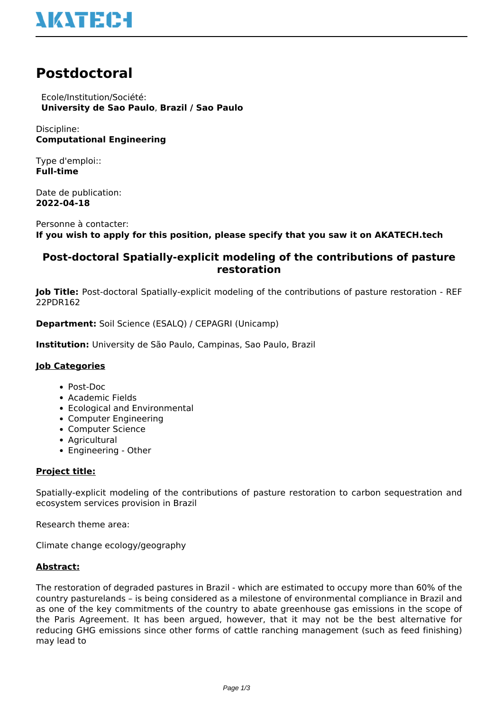# **NATEC-I**

## **Postdoctoral**

 Ecole/Institution/Société: **University de Sao Paulo**, **Brazil / Sao Paulo**

Discipline: **Computational Engineering**

Type d'emploi:: **Full-time**

Date de publication: **2022-04-18**

Personne à contacter: **If you wish to apply for this position, please specify that you saw it on AKATECH.tech**

### **Post-doctoral Spatially-explicit modeling of the contributions of pasture restoration**

**Job Title:** Post-doctoral Spatially-explicit modeling of the contributions of pasture restoration - REF 22PDR162

**Department:** Soil Science (ESALQ) / CEPAGRI (Unicamp)

**Institution:** University de São Paulo, Campinas, Sao Paulo, Brazil

#### **Job Categories**

- Post-Doc
- Academic Fields
- Ecological and Environmental
- Computer Engineering
- Computer Science
- Agricultural
- Engineering Other

#### **Project title:**

Spatially-explicit modeling of the contributions of pasture restoration to carbon sequestration and ecosystem services provision in Brazil

Research theme area:

Climate change ecology/geography

#### **Abstract:**

The restoration of degraded pastures in Brazil - which are estimated to occupy more than 60% of the country pasturelands – is being considered as a milestone of environmental compliance in Brazil and as one of the key commitments of the country to abate greenhouse gas emissions in the scope of the Paris Agreement. It has been argued, however, that it may not be the best alternative for reducing GHG emissions since other forms of cattle ranching management (such as feed finishing) may lead to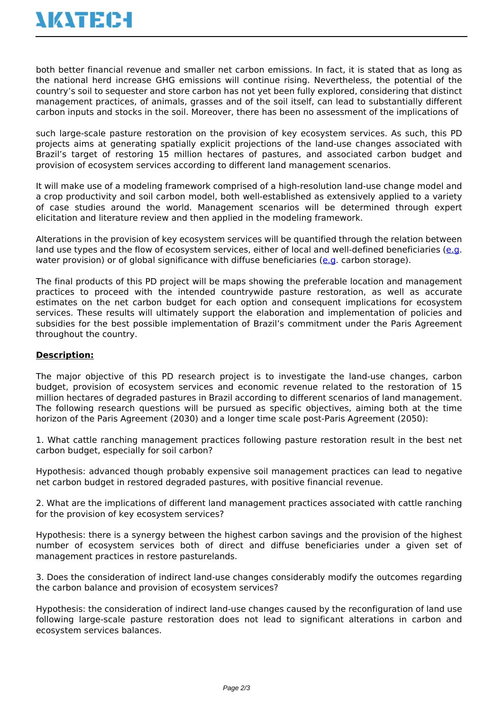both better financial revenue and smaller net carbon emissions. In fact, it is stated that as long as the national herd increase GHG emissions will continue rising. Nevertheless, the potential of the country's soil to sequester and store carbon has not yet been fully explored, considering that distinct management practices, of animals, grasses and of the soil itself, can lead to substantially different carbon inputs and stocks in the soil. Moreover, there has been no assessment of the implications of

such large-scale pasture restoration on the provision of key ecosystem services. As such, this PD projects aims at generating spatially explicit projections of the land-use changes associated with Brazil's target of restoring 15 million hectares of pastures, and associated carbon budget and provision of ecosystem services according to different land management scenarios.

It will make use of a modeling framework comprised of a high-resolution land-use change model and a crop productivity and soil carbon model, both well-established as extensively applied to a variety of case studies around the world. Management scenarios will be determined through expert elicitation and literature review and then applied in the modeling framework.

Alterations in the provision of key ecosystem services will be quantified through the relation between land use types and the flow of ecosystem services, either of local and well-defined beneficiaries [\(e.g.](e.g) water provision) or of global significance with diffuse beneficiaries ([e.g.](e.g) carbon storage).

The final products of this PD project will be maps showing the preferable location and management practices to proceed with the intended countrywide pasture restoration, as well as accurate estimates on the net carbon budget for each option and consequent implications for ecosystem services. These results will ultimately support the elaboration and implementation of policies and subsidies for the best possible implementation of Brazil's commitment under the Paris Agreement throughout the country.

#### **Description:**

The major objective of this PD research project is to investigate the land-use changes, carbon budget, provision of ecosystem services and economic revenue related to the restoration of 15 million hectares of degraded pastures in Brazil according to different scenarios of land management. The following research questions will be pursued as specific objectives, aiming both at the time horizon of the Paris Agreement (2030) and a longer time scale post-Paris Agreement (2050):

1. What cattle ranching management practices following pasture restoration result in the best net carbon budget, especially for soil carbon?

Hypothesis: advanced though probably expensive soil management practices can lead to negative net carbon budget in restored degraded pastures, with positive financial revenue.

2. What are the implications of different land management practices associated with cattle ranching for the provision of key ecosystem services?

Hypothesis: there is a synergy between the highest carbon savings and the provision of the highest number of ecosystem services both of direct and diffuse beneficiaries under a given set of management practices in restore pasturelands.

3. Does the consideration of indirect land-use changes considerably modify the outcomes regarding the carbon balance and provision of ecosystem services?

Hypothesis: the consideration of indirect land-use changes caused by the reconfiguration of land use following large-scale pasture restoration does not lead to significant alterations in carbon and ecosystem services balances.